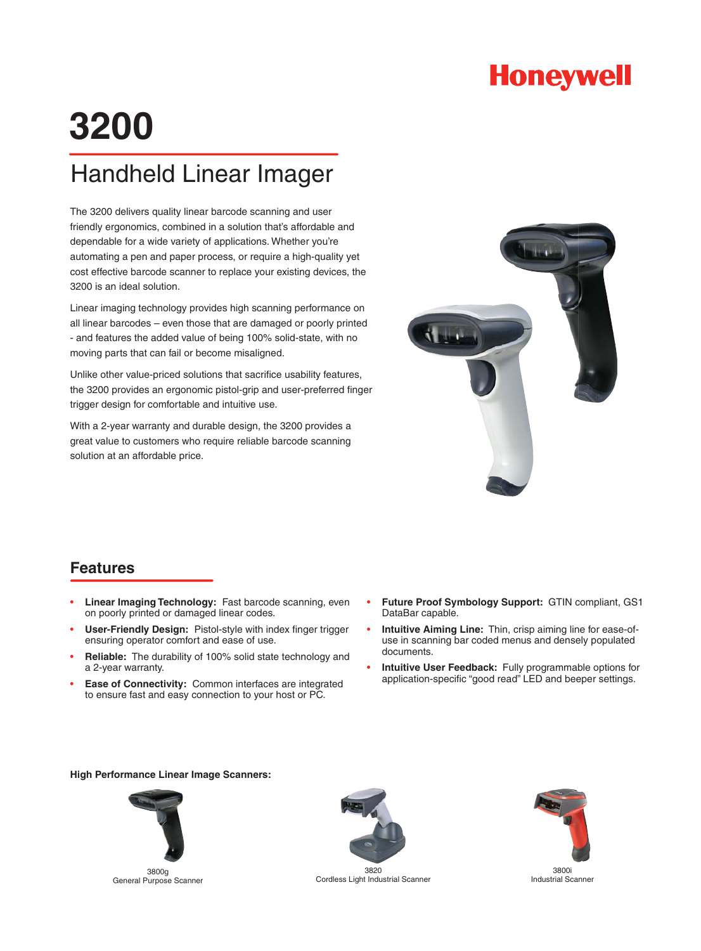

# **3200**

## Handheld Linear Imager

The 3200 delivers quality linear barcode scanning and user friendly ergonomics, combined in a solution that's affordable and dependable for a wide variety of applications. Whether you're automating a pen and paper process, or require a high-quality yet cost effective barcode scanner to replace your existing devices, the 3200 is an ideal solution.

Linear imaging technology provides high scanning performance on all linear barcodes – even those that are damaged or poorly printed - and features the added value of being 100% solid-state, with no moving parts that can fail or become misaligned.

Unlike other value-priced solutions that sacrifice usability features, the 3200 provides an ergonomic pistol-grip and user-preferred finger trigger design for comfortable and intuitive use.

With a 2-year warranty and durable design, the 3200 provides a great value to customers who require reliable barcode scanning solution at an affordable price.



#### **Features**

- **Linear Imaging Technology:** Fast barcode scanning, even on poorly printed or damaged linear codes. •
- **User-Friendly Design:** Pistol-style with index finger trigger ensuring operator comfort and ease of use. •
- **Reliable:** The durability of 100% solid state technology and a 2-year warranty. •
- **Ease of Connectivity:** Common interfaces are integrated to ensure fast and easy connection to your host or PC. •
- **Future Proof Symbology Support:** GTIN compliant, GS1 DataBar capable. •
- **Intuitive Aiming Line:** Thin, crisp aiming line for ease-ofuse in scanning bar coded menus and densely populated documents. •
- **Intuitive User Feedback:** Fully programmable options for application-specific "good read" LED and beeper settings. •

#### **High Performance Linear Image Scanners:**



3800g General Purpose Scanner



3820 Cordless Light Industrial Scanner



3800i Industrial Scanner